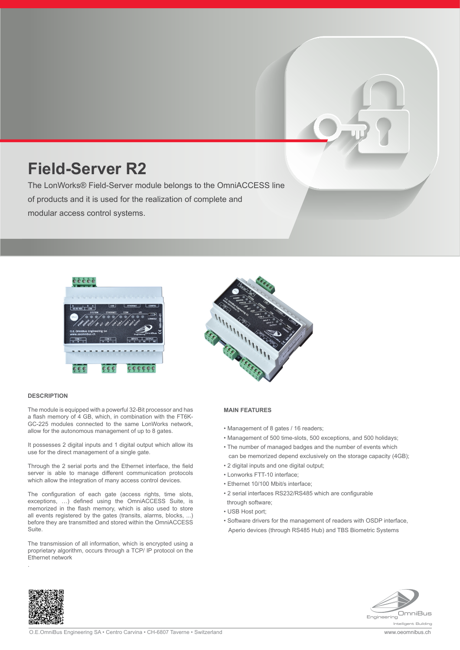# **Field-Server R2**

The LonWorks® Field-Server module belongs to the OmniACCESS line of products and it is used for the realization of complete and modular access control systems.



#### **DESCRIPTION**

.

The module is equipped with a powerful 32-Bit processor and has a flash memory of 4 GB, which, in combination with the FT6K-GC-225 modules connected to the same LonWorks network, allow for the autonomous management of up to 8 gates.

It possesses 2 digital inputs and 1 digital output which allow its use for the direct management of a single gate.

Through the 2 serial ports and the Ethernet interface, the field server is able to manage different communication protocols which allow the integration of many access control devices.

The configuration of each gate (access rights, time slots, exceptions, …) defined using the OmniACCESS Suite, is memorized in the flash memory, which is also used to store all events registered by the gates (transits, alarms, blocks, ...) before they are transmitted and stored within the OmniACCESS Suite.

The transmission of all information, which is encrypted using a proprietary algorithm, occurs through a TCP/ IP protocol on the Ethernet network



#### **MAIN FEATURES**

- Management of 8 gates / 16 readers;
- Management of 500 time-slots, 500 exceptions, and 500 holidays;
- The number of managed badges and the number of events which can be memorized depend exclusively on the storage capacity (4GB);
- 2 digital inputs and one digital output;
- Lonworks FTT-10 interface;
- Ethernet 10/100 Mbit/s interface;
- 2 serial interfaces RS232/RS485 which are configurable
- through software;
- USB Host port;
- Software drivers for the management of readers with OSDP interface, Aperio devices (through RS485 Hub) and TBS Biometric Systems



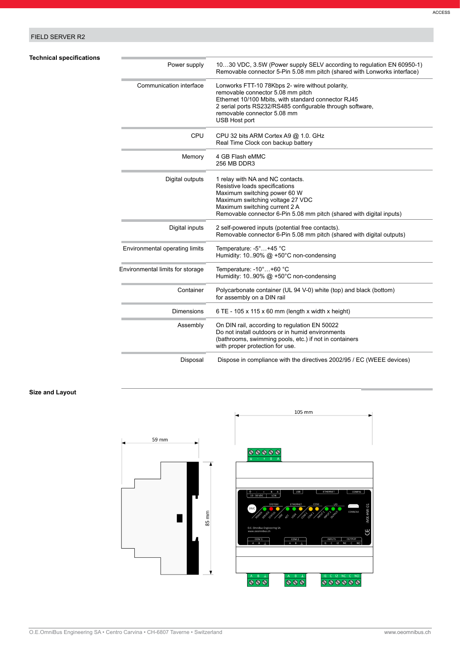# FIELD SERVER R2

**Technical specifications** 

| <b>Technical specifications</b> | Power supply                     | 1030 VDC, 3.5W (Power supply SELV according to regulation EN 60950-1)<br>Removable connector 5-Pin 5.08 mm pitch (shared with Lonworks interface)                                                                                                                |
|---------------------------------|----------------------------------|------------------------------------------------------------------------------------------------------------------------------------------------------------------------------------------------------------------------------------------------------------------|
|                                 | Communication interface          | Lonworks FTT-10 78Kbps 2- wire without polarity,<br>removable connector 5.08 mm pitch<br>Ethernet 10/100 Mbits, with standard connector RJ45<br>2 serial ports RS232/RS485 configurable through software,<br>removable connector 5.08 mm<br><b>USB Host port</b> |
|                                 | CPU                              | CPU 32 bits ARM Cortex A9 @ 1.0. GHz<br>Real Time Clock con backup battery                                                                                                                                                                                       |
|                                 | Memory                           | 4 GB Flash eMMC<br>256 MB DDR3                                                                                                                                                                                                                                   |
|                                 | Digital outputs                  | 1 relay with NA and NC contacts.<br>Resistive loads specifications<br>Maximum switching power 60 W<br>Maximum switching voltage 27 VDC<br>Maximum switching current 2 A<br>Removable connector 6-Pin 5.08 mm pitch (shared with digital inputs)                  |
|                                 | Digital inputs                   | 2 self-powered inputs (potential free contacts).<br>Removable connector 6-Pin 5.08 mm pitch (shared with digital outputs)                                                                                                                                        |
|                                 | Environmental operating limits   | Temperature: -5°+45 °C<br>Humidity: 1090% $@ + 50^{\circ}$ C non-condensing                                                                                                                                                                                      |
|                                 | Environmental limits for storage | Temperature: -10°+60 °C<br>Humidity: 1090% $@ + 50^{\circ}$ C non-condensing                                                                                                                                                                                     |
|                                 | Container                        | Polycarbonate container (UL 94 V-0) white (top) and black (bottom)<br>for assembly on a DIN rail                                                                                                                                                                 |
|                                 | <b>Dimensions</b>                | $6 TE - 105 \times 115 \times 60$ mm (length x width x height)                                                                                                                                                                                                   |
|                                 | Assembly                         | On DIN rail, according to regulation EN 50022<br>Do not install outdoors or in humid environments<br>(bathrooms, swimming pools, etc.) if not in containers<br>with proper protection for use.                                                                   |
|                                 | Disposal                         | Dispose in compliance with the directives 2002/95 / EC (WEEE devices)                                                                                                                                                                                            |

## **Size and Layout**